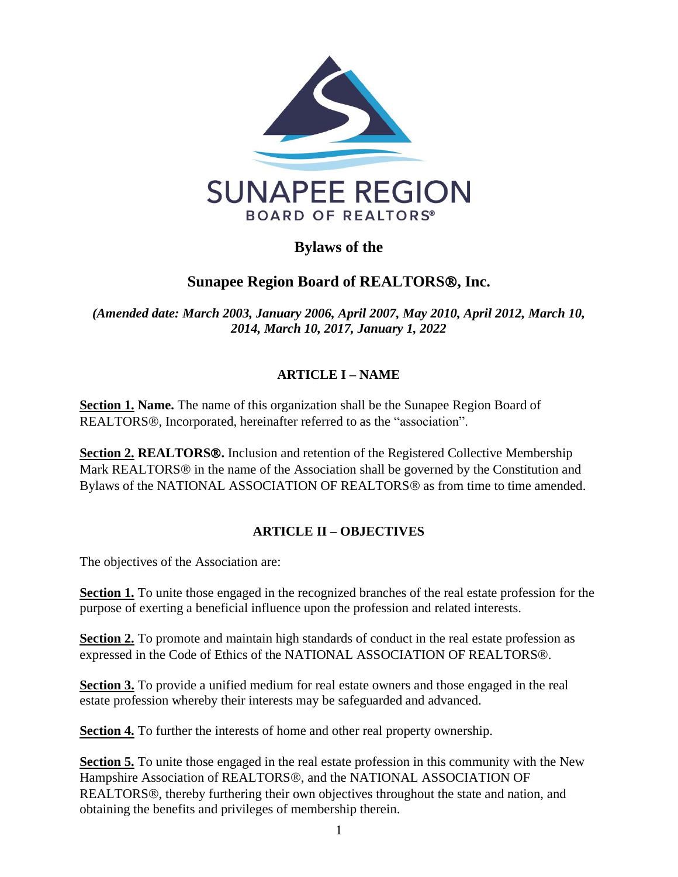

# **Bylaws of the**

# **Sunapee Region Board of REALTORS, Inc.**

*(Amended date: March 2003, January 2006, April 2007, May 2010, April 2012, March 10, 2014, March 10, 2017, January 1, 2022*

# **ARTICLE I – NAME**

**Section 1. Name.** The name of this organization shall be the Sunapee Region Board of REALTORS<sup>®</sup>, Incorporated, hereinafter referred to as the "association".

**Section 2. REALTORS.** Inclusion and retention of the Registered Collective Membership Mark REALTORS<sup>®</sup> in the name of the Association shall be governed by the Constitution and Bylaws of the NATIONAL ASSOCIATION OF REALTORS<sup>®</sup> as from time to time amended.

## **ARTICLE II – OBJECTIVES**

The objectives of the Association are:

**Section 1.** To unite those engaged in the recognized branches of the real estate profession for the purpose of exerting a beneficial influence upon the profession and related interests.

**Section 2.** To promote and maintain high standards of conduct in the real estate profession as expressed in the Code of Ethics of the NATIONAL ASSOCIATION OF REALTORS<sup>®</sup>.

**Section 3.** To provide a unified medium for real estate owners and those engaged in the real estate profession whereby their interests may be safeguarded and advanced.

**Section 4.** To further the interests of home and other real property ownership.

**Section 5.** To unite those engaged in the real estate profession in this community with the New Hampshire Association of REALTORS<sup>®</sup>, and the NATIONAL ASSOCIATION OF REALTORS<sup>®</sup>, thereby furthering their own objectives throughout the state and nation, and obtaining the benefits and privileges of membership therein.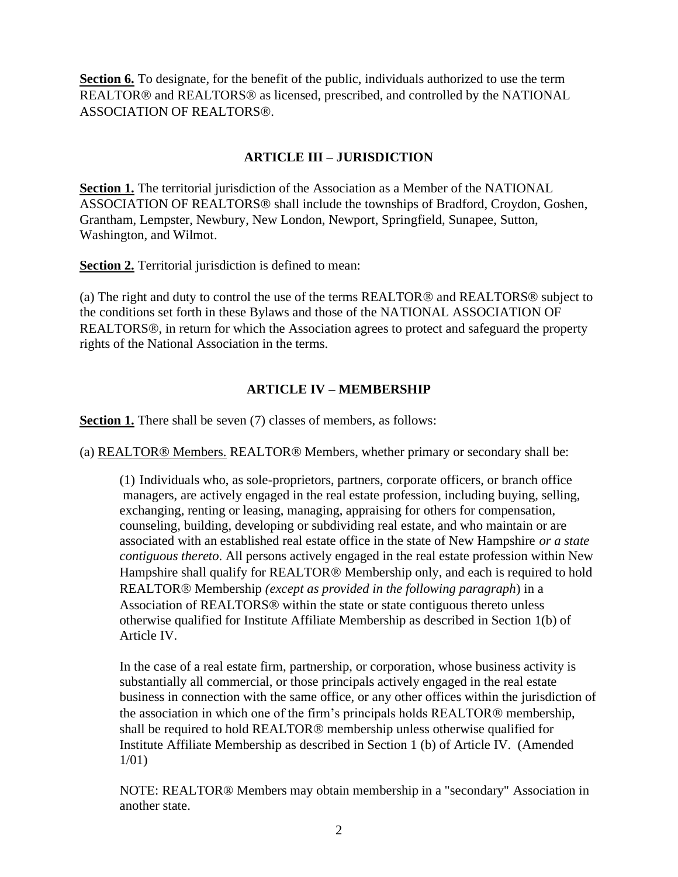**Section 6.** To designate, for the benefit of the public, individuals authorized to use the term REALTOR<sup>®</sup> and REALTORS<sup>®</sup> as licensed, prescribed, and controlled by the NATIONAL ASSOCIATION OF REALTORS®.

## **ARTICLE III – JURISDICTION**

**Section 1.** The territorial jurisdiction of the Association as a Member of the NATIONAL ASSOCIATION OF REALTORS<sup>®</sup> shall include the townships of Bradford, Croydon, Goshen, Grantham, Lempster, Newbury, New London, Newport, Springfield, Sunapee, Sutton, Washington, and Wilmot.

**Section 2.** Territorial jurisdiction is defined to mean:

(a) The right and duty to control the use of the terms  $REALTOR \otimes$  and  $REALTOR \otimes$  subject to the conditions set forth in these Bylaws and those of the NATIONAL ASSOCIATION OF REALTORS<sup>®</sup>, in return for which the Association agrees to protect and safeguard the property rights of the National Association in the terms.

## **ARTICLE IV – MEMBERSHIP**

**Section 1.** There shall be seven (7) classes of members, as follows:

(a) REALTOR<sup>®</sup> Members. REALTOR<sup>®</sup> Members, whether primary or secondary shall be:

(1) Individuals who, as sole-proprietors, partners, corporate officers, or branch office managers, are actively engaged in the real estate profession, including buying, selling, exchanging, renting or leasing, managing, appraising for others for compensation, counseling, building, developing or subdividing real estate, and who maintain or are associated with an established real estate office in the state of New Hampshire *or a state contiguous thereto*. All persons actively engaged in the real estate profession within New Hampshire shall qualify for REALTOR<sup>®</sup> Membership only, and each is required to hold REALTOR Membership *(except as provided in the following paragraph*) in a Association of REALTORS<sup>®</sup> within the state or state contiguous thereto unless otherwise qualified for Institute Affiliate Membership as described in Section 1(b) of Article IV.

In the case of a real estate firm, partnership, or corporation, whose business activity is substantially all commercial, or those principals actively engaged in the real estate business in connection with the same office, or any other offices within the jurisdiction of the association in which one of the firm's principals holds REALTOR<sup>®</sup> membership, shall be required to hold REALTOR<sup>®</sup> membership unless otherwise qualified for Institute Affiliate Membership as described in Section 1 (b) of Article IV. (Amended 1/01)

NOTE: REALTOR® Members may obtain membership in a "secondary" Association in another state.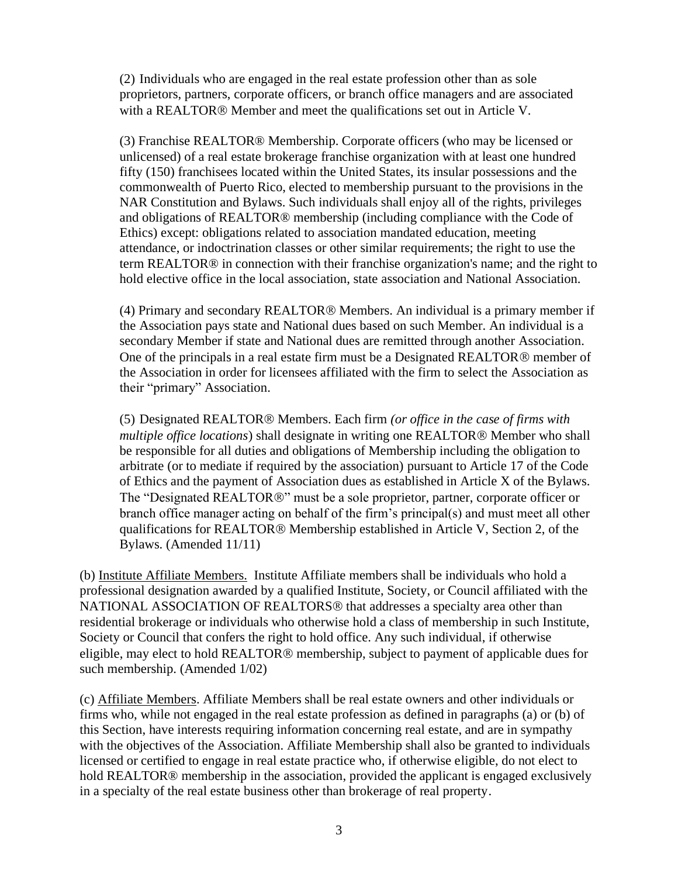(2) Individuals who are engaged in the real estate profession other than as sole proprietors, partners, corporate officers, or branch office managers and are associated with a REALTOR® Member and meet the qualifications set out in Article V.

(3) Franchise REALTOR® Membership. Corporate officers (who may be licensed or unlicensed) of a real estate brokerage franchise organization with at least one hundred fifty (150) franchisees located within the United States, its insular possessions and the commonwealth of Puerto Rico, elected to membership pursuant to the provisions in the NAR Constitution and Bylaws. Such individuals shall enjoy all of the rights, privileges and obligations of REALTOR® membership (including compliance with the Code of Ethics) except: obligations related to association mandated education, meeting attendance, or indoctrination classes or other similar requirements; the right to use the term REALTOR® in connection with their franchise organization's name; and the right to hold elective office in the local association, state association and National Association.

(4) Primary and secondary REALTOR® Members. An individual is a primary member if the Association pays state and National dues based on such Member. An individual is a secondary Member if state and National dues are remitted through another Association. One of the principals in a real estate firm must be a Designated REALTOR<sup>®</sup> member of the Association in order for licensees affiliated with the firm to select the Association as their "primary" Association.

(5) Designated REALTOR Members. Each firm *(or office in the case of firms with multiple office locations*) shall designate in writing one REALTOR<sup>®</sup> Member who shall be responsible for all duties and obligations of Membership including the obligation to arbitrate (or to mediate if required by the association) pursuant to Article 17 of the Code of Ethics and the payment of Association dues as established in Article X of the Bylaws. The "Designated REALTOR®" must be a sole proprietor, partner, corporate officer or branch office manager acting on behalf of the firm's principal(s) and must meet all other qualifications for REALTOR® Membership established in Article V, Section 2, of the Bylaws. (Amended 11/11)

(b) Institute Affiliate Members. Institute Affiliate members shall be individuals who hold a professional designation awarded by a qualified Institute, Society, or Council affiliated with the NATIONAL ASSOCIATION OF REALTORS<sup>®</sup> that addresses a specialty area other than residential brokerage or individuals who otherwise hold a class of membership in such Institute, Society or Council that confers the right to hold office. Any such individual, if otherwise eligible, may elect to hold REALTOR<sup>®</sup> membership, subject to payment of applicable dues for such membership. (Amended 1/02)

(c) Affiliate Members. Affiliate Members shall be real estate owners and other individuals or firms who, while not engaged in the real estate profession as defined in paragraphs (a) or (b) of this Section, have interests requiring information concerning real estate, and are in sympathy with the objectives of the Association. Affiliate Membership shall also be granted to individuals licensed or certified to engage in real estate practice who, if otherwise eligible, do not elect to hold REALTOR® membership in the association, provided the applicant is engaged exclusively in a specialty of the real estate business other than brokerage of real property.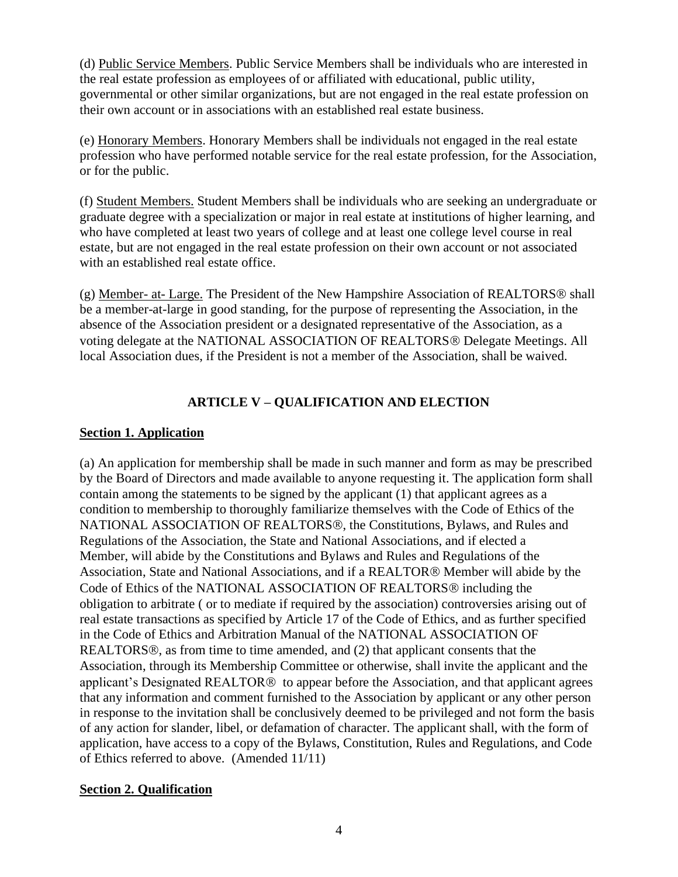(d) Public Service Members. Public Service Members shall be individuals who are interested in the real estate profession as employees of or affiliated with educational, public utility, governmental or other similar organizations, but are not engaged in the real estate profession on their own account or in associations with an established real estate business.

(e) Honorary Members. Honorary Members shall be individuals not engaged in the real estate profession who have performed notable service for the real estate profession, for the Association, or for the public.

(f) Student Members. Student Members shall be individuals who are seeking an undergraduate or graduate degree with a specialization or major in real estate at institutions of higher learning, and who have completed at least two years of college and at least one college level course in real estate, but are not engaged in the real estate profession on their own account or not associated with an established real estate office.

 $(g)$  Member- at- Large. The President of the New Hampshire Association of REALTORS $\circledR$  shall be a member-at-large in good standing, for the purpose of representing the Association, in the absence of the Association president or a designated representative of the Association, as a voting delegate at the NATIONAL ASSOCIATION OF REALTORS ® Delegate Meetings. All local Association dues, if the President is not a member of the Association, shall be waived.

## **ARTICLE V – QUALIFICATION AND ELECTION**

#### **Section 1. Application**

(a) An application for membership shall be made in such manner and form as may be prescribed by the Board of Directors and made available to anyone requesting it. The application form shall contain among the statements to be signed by the applicant (1) that applicant agrees as a condition to membership to thoroughly familiarize themselves with the Code of Ethics of the NATIONAL ASSOCIATION OF REALTORS®, the Constitutions, Bylaws, and Rules and Regulations of the Association, the State and National Associations, and if elected a Member, will abide by the Constitutions and Bylaws and Rules and Regulations of the Association, State and National Associations, and if a REALTOR® Member will abide by the Code of Ethics of the NATIONAL ASSOCIATION OF REALTORS<sup>®</sup> including the obligation to arbitrate ( or to mediate if required by the association) controversies arising out of real estate transactions as specified by Article 17 of the Code of Ethics, and as further specified in the Code of Ethics and Arbitration Manual of the NATIONAL ASSOCIATION OF REALTORS $\mathcal{R}$ , as from time to time amended, and (2) that applicant consents that the Association, through its Membership Committee or otherwise, shall invite the applicant and the applicant's Designated REALTOR<sup>®</sup> to appear before the Association, and that applicant agrees that any information and comment furnished to the Association by applicant or any other person in response to the invitation shall be conclusively deemed to be privileged and not form the basis of any action for slander, libel, or defamation of character. The applicant shall, with the form of application, have access to a copy of the Bylaws, Constitution, Rules and Regulations, and Code of Ethics referred to above. (Amended 11/11)

### **Section 2. Qualification**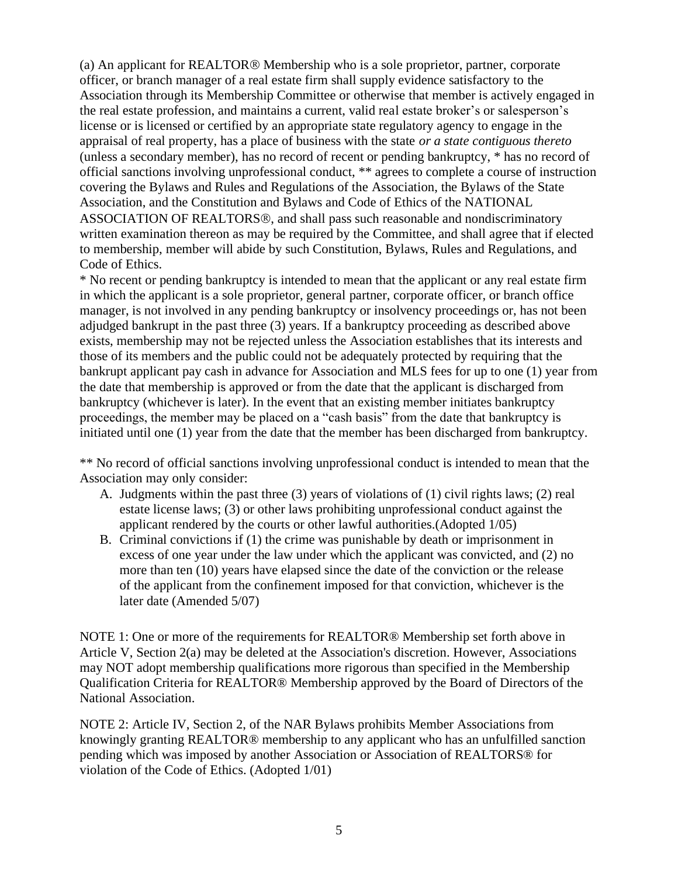$(a)$  An applicant for REALTOR $\circledR$  Membership who is a sole proprietor, partner, corporate officer, or branch manager of a real estate firm shall supply evidence satisfactory to the Association through its Membership Committee or otherwise that member is actively engaged in the real estate profession, and maintains a current, valid real estate broker's or salesperson's license or is licensed or certified by an appropriate state regulatory agency to engage in the appraisal of real property, has a place of business with the state *or a state contiguous thereto* (unless a secondary member), has no record of recent or pending bankruptcy, \* has no record of official sanctions involving unprofessional conduct, \*\* agrees to complete a course of instruction covering the Bylaws and Rules and Regulations of the Association, the Bylaws of the State Association, and the Constitution and Bylaws and Code of Ethics of the NATIONAL ASSOCIATION OF REALTORS®, and shall pass such reasonable and nondiscriminatory written examination thereon as may be required by the Committee, and shall agree that if elected to membership, member will abide by such Constitution, Bylaws, Rules and Regulations, and Code of Ethics.

\* No recent or pending bankruptcy is intended to mean that the applicant or any real estate firm in which the applicant is a sole proprietor, general partner, corporate officer, or branch office manager, is not involved in any pending bankruptcy or insolvency proceedings or, has not been adjudged bankrupt in the past three (3) years. If a bankruptcy proceeding as described above exists, membership may not be rejected unless the Association establishes that its interests and those of its members and the public could not be adequately protected by requiring that the bankrupt applicant pay cash in advance for Association and MLS fees for up to one (1) year from the date that membership is approved or from the date that the applicant is discharged from bankruptcy (whichever is later). In the event that an existing member initiates bankruptcy proceedings, the member may be placed on a "cash basis" from the date that bankruptcy is initiated until one (1) year from the date that the member has been discharged from bankruptcy.

\*\* No record of official sanctions involving unprofessional conduct is intended to mean that the Association may only consider:

- A. Judgments within the past three (3) years of violations of (1) civil rights laws; (2) real estate license laws; (3) or other laws prohibiting unprofessional conduct against the applicant rendered by the courts or other lawful authorities.(Adopted 1/05)
- B. Criminal convictions if (1) the crime was punishable by death or imprisonment in excess of one year under the law under which the applicant was convicted, and (2) no more than ten (10) years have elapsed since the date of the conviction or the release of the applicant from the confinement imposed for that conviction, whichever is the later date (Amended 5/07)

NOTE 1: One or more of the requirements for REALTOR® Membership set forth above in Article V, Section 2(a) may be deleted at the Association's discretion. However, Associations may NOT adopt membership qualifications more rigorous than specified in the Membership Qualification Criteria for REALTOR® Membership approved by the Board of Directors of the National Association.

NOTE 2: Article IV, Section 2, of the NAR Bylaws prohibits Member Associations from knowingly granting REALTOR® membership to any applicant who has an unfulfilled sanction pending which was imposed by another Association or Association of REALTORS® for violation of the Code of Ethics. (Adopted 1/01)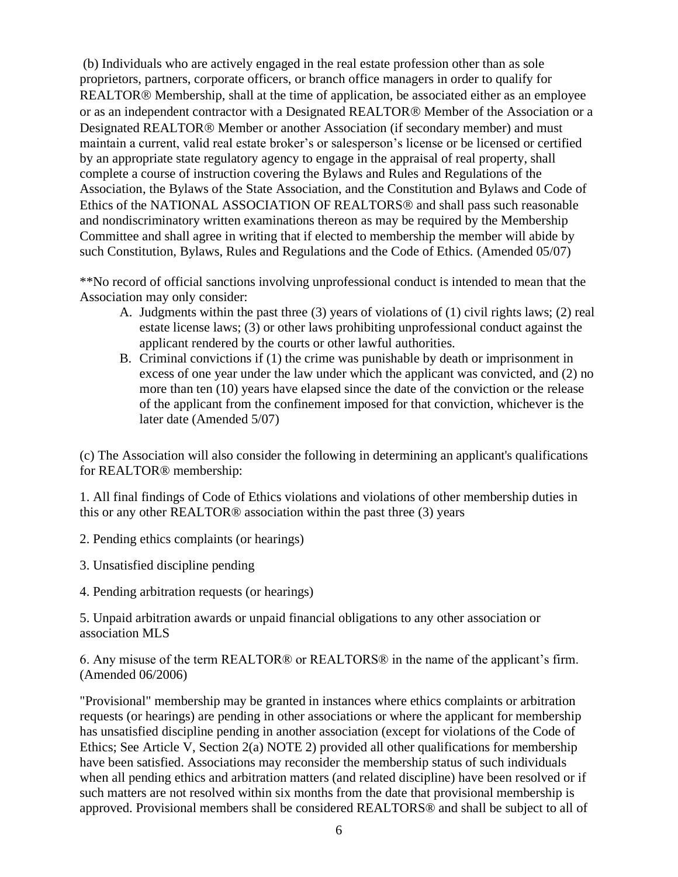(b) Individuals who are actively engaged in the real estate profession other than as sole proprietors, partners, corporate officers, or branch office managers in order to qualify for REALTOR<sup>®</sup> Membership, shall at the time of application, be associated either as an employee or as an independent contractor with a Designated REALTOR ® Member of the Association or a Designated REALTOR<sup>®</sup> Member or another Association (if secondary member) and must maintain a current, valid real estate broker's or salesperson's license or be licensed or certified by an appropriate state regulatory agency to engage in the appraisal of real property, shall complete a course of instruction covering the Bylaws and Rules and Regulations of the Association, the Bylaws of the State Association, and the Constitution and Bylaws and Code of Ethics of the NATIONAL ASSOCIATION OF REALTORS<sup>®</sup> and shall pass such reasonable and nondiscriminatory written examinations thereon as may be required by the Membership Committee and shall agree in writing that if elected to membership the member will abide by such Constitution, Bylaws, Rules and Regulations and the Code of Ethics. (Amended 05/07)

\*\*No record of official sanctions involving unprofessional conduct is intended to mean that the Association may only consider:

- A. Judgments within the past three (3) years of violations of (1) civil rights laws; (2) real estate license laws; (3) or other laws prohibiting unprofessional conduct against the applicant rendered by the courts or other lawful authorities.
- B. Criminal convictions if (1) the crime was punishable by death or imprisonment in excess of one year under the law under which the applicant was convicted, and (2) no more than ten (10) years have elapsed since the date of the conviction or the release of the applicant from the confinement imposed for that conviction, whichever is the later date (Amended 5/07)

(c) The Association will also consider the following in determining an applicant's qualifications for REALTOR® membership:

1. All final findings of Code of Ethics violations and violations of other membership duties in this or any other REALTOR® association within the past three (3) years

2. Pending ethics complaints (or hearings)

3. Unsatisfied discipline pending

4. Pending arbitration requests (or hearings)

5. Unpaid arbitration awards or unpaid financial obligations to any other association or association MLS

6. Any misuse of the term REALTOR® or REALTORS® in the name of the applicant's firm. (Amended 06/2006)

"Provisional" membership may be granted in instances where ethics complaints or arbitration requests (or hearings) are pending in other associations or where the applicant for membership has unsatisfied discipline pending in another association (except for violations of the Code of Ethics; See Article V, Section 2(a) NOTE 2) provided all other qualifications for membership have been satisfied. Associations may reconsider the membership status of such individuals when all pending ethics and arbitration matters (and related discipline) have been resolved or if such matters are not resolved within six months from the date that provisional membership is approved. Provisional members shall be considered REALTORS® and shall be subject to all of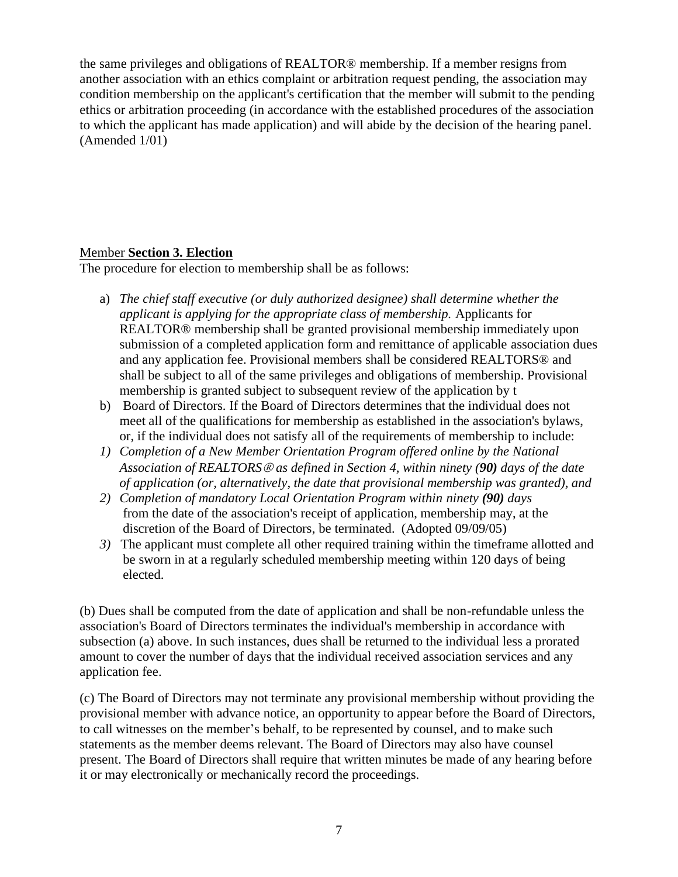the same privileges and obligations of REALTOR® membership. If a member resigns from another association with an ethics complaint or arbitration request pending, the association may condition membership on the applicant's certification that the member will submit to the pending ethics or arbitration proceeding (in accordance with the established procedures of the association to which the applicant has made application) and will abide by the decision of the hearing panel. (Amended 1/01)

## Member **Section 3. Election**

The procedure for election to membership shall be as follows:

- a) *The chief staff executive (or duly authorized designee) shall determine whether the applicant is applying for the appropriate class of membership.* Applicants for REALTOR® membership shall be granted provisional membership immediately upon submission of a completed application form and remittance of applicable association dues and any application fee. Provisional members shall be considered REALTORS® and shall be subject to all of the same privileges and obligations of membership. Provisional membership is granted subject to subsequent review of the application by t
- b) Board of Directors. If the Board of Directors determines that the individual does not meet all of the qualifications for membership as established in the association's bylaws, or, if the individual does not satisfy all of the requirements of membership to include:
- *1) Completion of a New Member Orientation Program offered online by the National Association of REALTORS as defined in Section 4, within ninety (90) days of the date of application (or, alternatively, the date that provisional membership was granted), and*
- *2) Completion of mandatory Local Orientation Program within ninety (90) days* from the date of the association's receipt of application, membership may, at the discretion of the Board of Directors, be terminated. (Adopted 09/09/05)
- *3)* The applicant must complete all other required training within the timeframe allotted and be sworn in at a regularly scheduled membership meeting within 120 days of being elected.

(b) Dues shall be computed from the date of application and shall be non-refundable unless the association's Board of Directors terminates the individual's membership in accordance with subsection (a) above. In such instances, dues shall be returned to the individual less a prorated amount to cover the number of days that the individual received association services and any application fee.

(c) The Board of Directors may not terminate any provisional membership without providing the provisional member with advance notice, an opportunity to appear before the Board of Directors, to call witnesses on the member's behalf, to be represented by counsel, and to make such statements as the member deems relevant. The Board of Directors may also have counsel present. The Board of Directors shall require that written minutes be made of any hearing before it or may electronically or mechanically record the proceedings.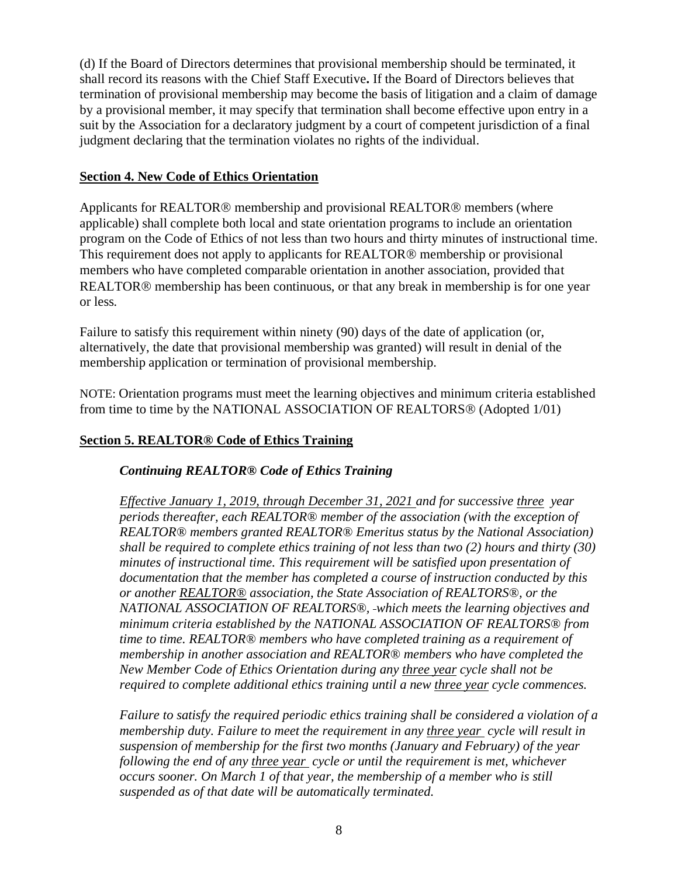(d) If the Board of Directors determines that provisional membership should be terminated, it shall record its reasons with the Chief Staff Executive**.** If the Board of Directors believes that termination of provisional membership may become the basis of litigation and a claim of damage by a provisional member, it may specify that termination shall become effective upon entry in a suit by the Association for a declaratory judgment by a court of competent jurisdiction of a final judgment declaring that the termination violates no rights of the individual.

### **Section 4. New Code of Ethics Orientation**

Applicants for REALTOR<sup>®</sup> membership and provisional REALTOR<sup>®</sup> members (where applicable) shall complete both local and state orientation programs to include an orientation program on the Code of Ethics of not less than two hours and thirty minutes of instructional time. This requirement does not apply to applicants for REALTOR<sup>®</sup> membership or provisional members who have completed comparable orientation in another association, provided that REALTOR<sup>®</sup> membership has been continuous, or that any break in membership is for one year or less*.*

Failure to satisfy this requirement within ninety (90) days of the date of application (or, alternatively, the date that provisional membership was granted) will result in denial of the membership application or termination of provisional membership.

NOTE: Orientation programs must meet the learning objectives and minimum criteria established from time to time by the NATIONAL ASSOCIATION OF REALTORS<sup>®</sup> (Adopted 1/01)

## **Section 5. REALTOR® Code of Ethics Training**

### *Continuing REALTOR® Code of Ethics Training*

*Effective January 1, 2019, through December 31, 2021 and for successive three year periods thereafter, each REALTOR® member of the association (with the exception of REALTOR® members granted REALTOR® Emeritus status by the National Association) shall be required to complete ethics training of not less than two (2) hours and thirty (30) minutes of instructional time. This requirement will be satisfied upon presentation of documentation that the member has completed a course of instruction conducted by this or another REALTOR® association, the State Association of REALTORS®, or the NATIONAL ASSOCIATION OF REALTORS®, which meets the learning objectives and minimum criteria established by the NATIONAL ASSOCIATION OF REALTORS® from time to time. REALTOR® members who have completed training as a requirement of membership in another association and REALTOR® members who have completed the New Member Code of Ethics Orientation during any three year cycle shall not be required to complete additional ethics training until a new three year cycle commences.*

*Failure to satisfy the required periodic ethics training shall be considered a violation of a membership duty. Failure to meet the requirement in any three year cycle will result in suspension of membership for the first two months (January and February) of the year following the end of any three year cycle or until the requirement is met, whichever occurs sooner. On March 1 of that year, the membership of a member who is still suspended as of that date will be automatically terminated.*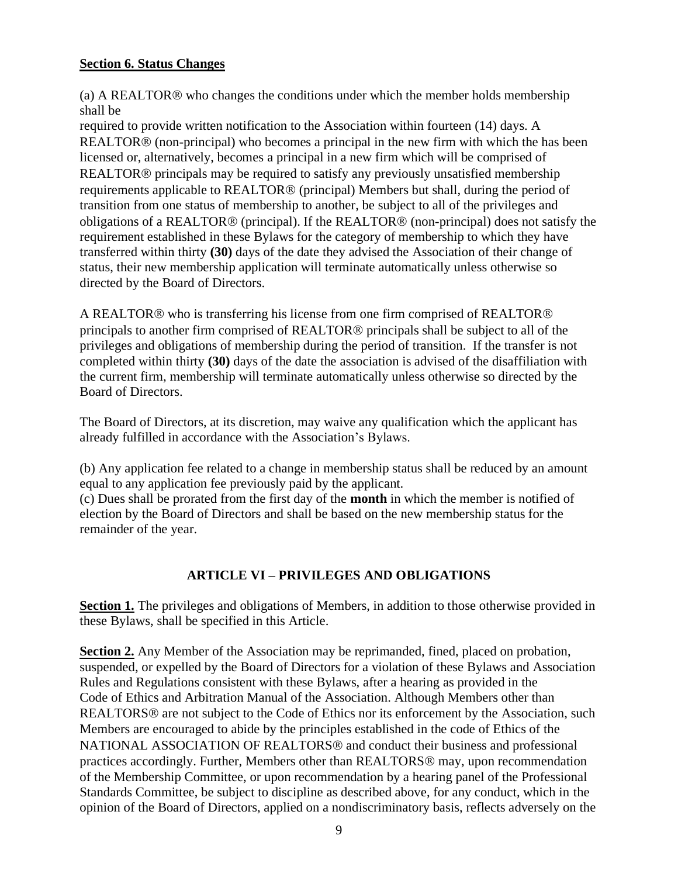### **Section 6. Status Changes**

(a) A REALTOR<sup>®</sup> who changes the conditions under which the member holds membership shall be

required to provide written notification to the Association within fourteen (14) days. A REALTOR $<sup>®</sup>$  (non-principal) who becomes a principal in the new firm with which the has been</sup> licensed or, alternatively, becomes a principal in a new firm which will be comprised of REALTOR<sup>®</sup> principals may be required to satisfy any previously unsatisfied membership requirements applicable to REALTOR<sup>®</sup> (principal) Members but shall, during the period of transition from one status of membership to another, be subject to all of the privileges and obligations of a REALTOR<sup>®</sup> (principal). If the REALTOR<sup>®</sup> (non-principal) does not satisfy the requirement established in these Bylaws for the category of membership to which they have transferred within thirty **(30)** days of the date they advised the Association of their change of status, their new membership application will terminate automatically unless otherwise so directed by the Board of Directors.

A REALTOR® who is transferring his license from one firm comprised of REALTOR® principals to another firm comprised of REALTOR<sup>®</sup> principals shall be subject to all of the privileges and obligations of membership during the period of transition. If the transfer is not completed within thirty **(30)** days of the date the association is advised of the disaffiliation with the current firm, membership will terminate automatically unless otherwise so directed by the Board of Directors.

The Board of Directors, at its discretion, may waive any qualification which the applicant has already fulfilled in accordance with the Association's Bylaws.

(b) Any application fee related to a change in membership status shall be reduced by an amount equal to any application fee previously paid by the applicant.

(c) Dues shall be prorated from the first day of the **month** in which the member is notified of election by the Board of Directors and shall be based on the new membership status for the remainder of the year.

## **ARTICLE VI – PRIVILEGES AND OBLIGATIONS**

**Section 1.** The privileges and obligations of Members, in addition to those otherwise provided in these Bylaws, shall be specified in this Article.

**Section 2.** Any Member of the Association may be reprimanded, fined, placed on probation, suspended, or expelled by the Board of Directors for a violation of these Bylaws and Association Rules and Regulations consistent with these Bylaws, after a hearing as provided in the Code of Ethics and Arbitration Manual of the Association. Although Members other than REALTORS<sup>®</sup> are not subject to the Code of Ethics nor its enforcement by the Association, such Members are encouraged to abide by the principles established in the code of Ethics of the NATIONAL ASSOCIATION OF REALTORS<sup>®</sup> and conduct their business and professional practices accordingly. Further, Members other than REALTORS<sup>®</sup> may, upon recommendation of the Membership Committee, or upon recommendation by a hearing panel of the Professional Standards Committee, be subject to discipline as described above, for any conduct, which in the opinion of the Board of Directors, applied on a nondiscriminatory basis, reflects adversely on the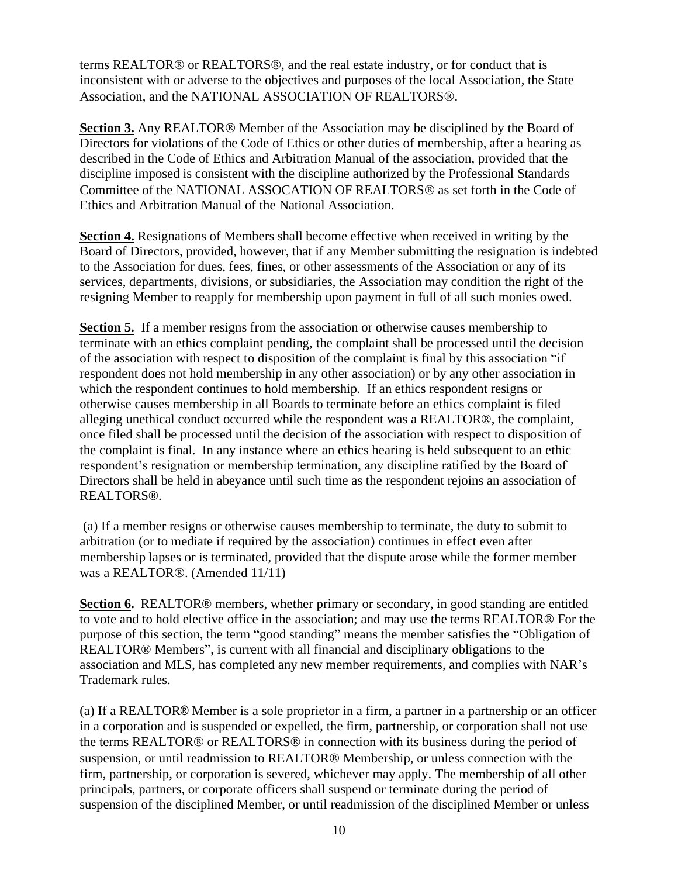terms REALTOR $\circledR$  or REALTORS $\circledR$ , and the real estate industry, or for conduct that is inconsistent with or adverse to the objectives and purposes of the local Association, the State Association, and the NATIONAL ASSOCIATION OF REALTORS<sup>®</sup>.

**Section 3.** Any REALTOR<sup>®</sup> Member of the Association may be disciplined by the Board of Directors for violations of the Code of Ethics or other duties of membership, after a hearing as described in the Code of Ethics and Arbitration Manual of the association, provided that the discipline imposed is consistent with the discipline authorized by the Professional Standards Committee of the NATIONAL ASSOCATION OF REALTORS<sup>®</sup> as set forth in the Code of Ethics and Arbitration Manual of the National Association.

**Section 4.** Resignations of Members shall become effective when received in writing by the Board of Directors, provided, however, that if any Member submitting the resignation is indebted to the Association for dues, fees, fines, or other assessments of the Association or any of its services, departments, divisions, or subsidiaries, the Association may condition the right of the resigning Member to reapply for membership upon payment in full of all such monies owed.

**Section 5.** If a member resigns from the association or otherwise causes membership to terminate with an ethics complaint pending, the complaint shall be processed until the decision of the association with respect to disposition of the complaint is final by this association "if respondent does not hold membership in any other association) or by any other association in which the respondent continues to hold membership. If an ethics respondent resigns or otherwise causes membership in all Boards to terminate before an ethics complaint is filed alleging unethical conduct occurred while the respondent was a REALTOR®, the complaint, once filed shall be processed until the decision of the association with respect to disposition of the complaint is final. In any instance where an ethics hearing is held subsequent to an ethic respondent's resignation or membership termination, any discipline ratified by the Board of Directors shall be held in abeyance until such time as the respondent rejoins an association of REALTORS®.

(a) If a member resigns or otherwise causes membership to terminate, the duty to submit to arbitration (or to mediate if required by the association) continues in effect even after membership lapses or is terminated, provided that the dispute arose while the former member was a REALTOR<sup>®</sup>. (Amended 11/11)

**Section 6.** REALTOR<sup>®</sup> members, whether primary or secondary, in good standing are entitled to vote and to hold elective office in the association; and may use the terms REALTOR® For the purpose of this section, the term "good standing" means the member satisfies the "Obligation of REALTOR® Members", is current with all financial and disciplinary obligations to the association and MLS, has completed any new member requirements, and complies with NAR's Trademark rules.

(a) If a REALTOR® Member is a sole proprietor in a firm, a partner in a partnership or an officer in a corporation and is suspended or expelled, the firm, partnership, or corporation shall not use the terms REALTOR<sup>®</sup> or REALTORS<sup>®</sup> in connection with its business during the period of suspension, or until readmission to REALTOR<sup>®</sup> Membership, or unless connection with the firm, partnership, or corporation is severed, whichever may apply. The membership of all other principals, partners, or corporate officers shall suspend or terminate during the period of suspension of the disciplined Member, or until readmission of the disciplined Member or unless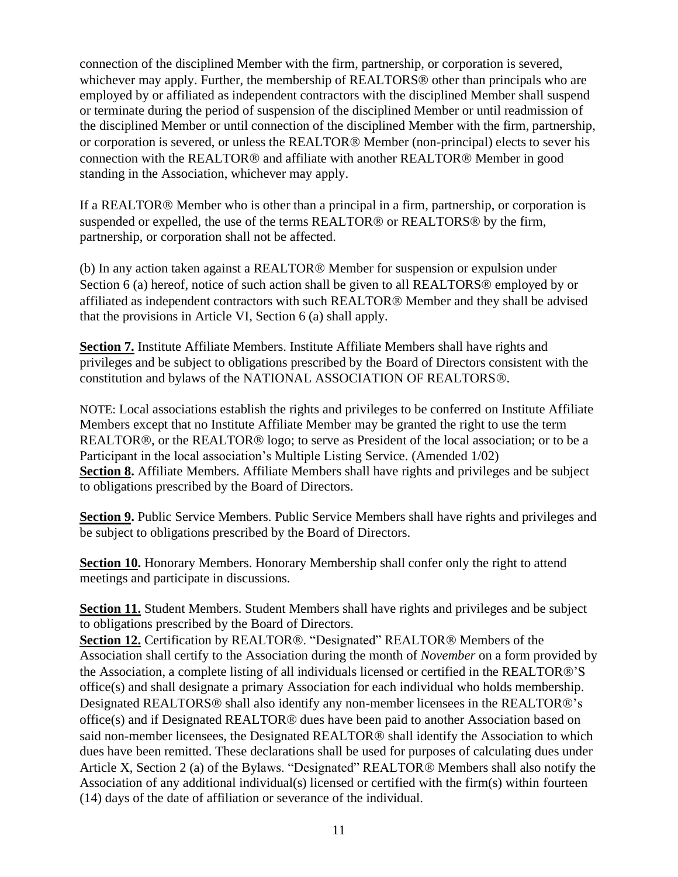connection of the disciplined Member with the firm, partnership, or corporation is severed, whichever may apply. Further, the membership of REALTORS<sup>®</sup> other than principals who are employed by or affiliated as independent contractors with the disciplined Member shall suspend or terminate during the period of suspension of the disciplined Member or until readmission of the disciplined Member or until connection of the disciplined Member with the firm, partnership, or corporation is severed, or unless the REALTOR<sup>®</sup> Member (non-principal) elects to sever his connection with the REALTOR<sup>®</sup> and affiliate with another REALTOR<sup>®</sup> Member in good standing in the Association, whichever may apply.

If a REALTOR<sup>®</sup> Member who is other than a principal in a firm, partnership, or corporation is suspended or expelled, the use of the terms REALTOR<sup>®</sup> or REALTORS<sup>®</sup> by the firm, partnership, or corporation shall not be affected.

(b) In any action taken against a REALTOR<sup>®</sup> Member for suspension or expulsion under Section 6 (a) hereof, notice of such action shall be given to all REALTORS<sup>®</sup> employed by or affiliated as independent contractors with such REALTOR® Member and they shall be advised that the provisions in Article VI, Section 6 (a) shall apply.

**Section 7.** Institute Affiliate Members. Institute Affiliate Members shall have rights and privileges and be subject to obligations prescribed by the Board of Directors consistent with the constitution and bylaws of the NATIONAL ASSOCIATION OF REALTORS<sup>®</sup>.

NOTE: Local associations establish the rights and privileges to be conferred on Institute Affiliate Members except that no Institute Affiliate Member may be granted the right to use the term REALTOR<sup>®</sup>, or the REALTOR<sup>®</sup> logo; to serve as President of the local association; or to be a Participant in the local association's Multiple Listing Service. (Amended 1/02) **Section 8.** Affiliate Members. Affiliate Members shall have rights and privileges and be subject to obligations prescribed by the Board of Directors.

**Section 9.** Public Service Members. Public Service Members shall have rights and privileges and be subject to obligations prescribed by the Board of Directors.

**Section 10.** Honorary Members. Honorary Membership shall confer only the right to attend meetings and participate in discussions.

**Section 11.** Student Members. Student Members shall have rights and privileges and be subject to obligations prescribed by the Board of Directors.

**Section 12.** Certification by REALTOR<sup>®</sup>. "Designated" REALTOR<sup>®</sup> Members of the Association shall certify to the Association during the month of *November* on a form provided by the Association, a complete listing of all individuals licensed or certified in the REALTOR®'S office(s) and shall designate a primary Association for each individual who holds membership. Designated REALTORS<sup>®</sup> shall also identify any non-member licensees in the REALTOR<sup>®</sup>'s  $of\text{fice}(s)$  and if Designated REALTOR $\otimes$  dues have been paid to another Association based on said non-member licensees, the Designated REALTOR® shall identify the Association to which dues have been remitted. These declarations shall be used for purposes of calculating dues under Article X, Section 2 (a) of the Bylaws. "Designated" REALTOR<sup>®</sup> Members shall also notify the Association of any additional individual(s) licensed or certified with the firm(s) within fourteen (14) days of the date of affiliation or severance of the individual.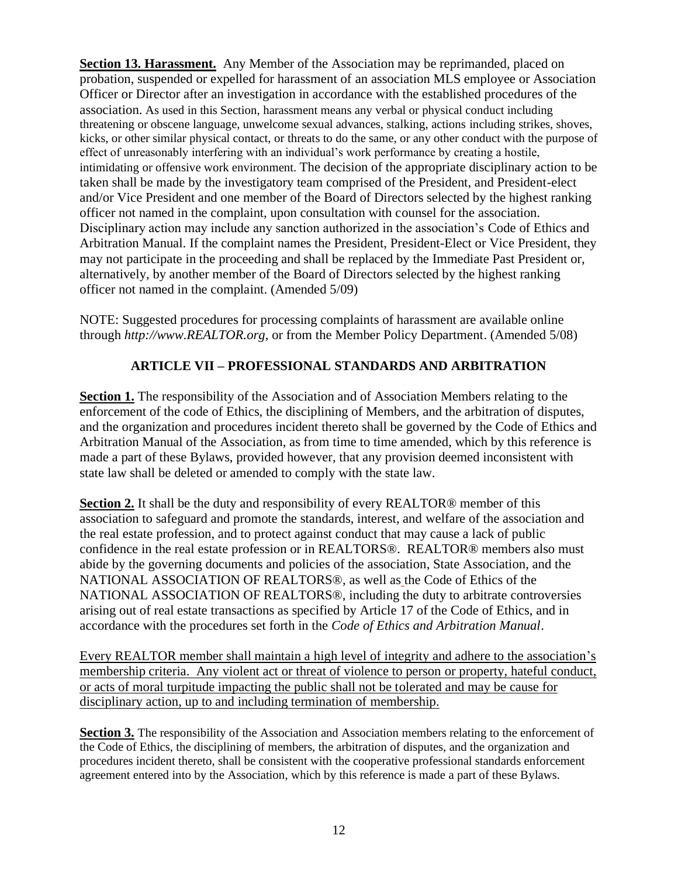**Section 13. Harassment.** Any Member of the Association may be reprimanded, placed on probation, suspended or expelled for harassment of an association MLS employee or Association Officer or Director after an investigation in accordance with the established procedures of the association. As used in this Section, harassment means any verbal or physical conduct including threatening or obscene language, unwelcome sexual advances, stalking, actions including strikes, shoves, kicks, or other similar physical contact, or threats to do the same, or any other conduct with the purpose of effect of unreasonably interfering with an individual's work performance by creating a hostile, intimidating or offensive work environment. The decision of the appropriate disciplinary action to be taken shall be made by the investigatory team comprised of the President, and President-elect and/or Vice President and one member of the Board of Directors selected by the highest ranking officer not named in the complaint, upon consultation with counsel for the association. Disciplinary action may include any sanction authorized in the association's Code of Ethics and Arbitration Manual. If the complaint names the President, President-Elect or Vice President, they may not participate in the proceeding and shall be replaced by the Immediate Past President or, alternatively, by another member of the Board of Directors selected by the highest ranking officer not named in the complaint. (Amended 5/09)

NOTE: Suggested procedures for processing complaints of harassment are available online through *http://www.REALTOR.org*, or from the Member Policy Department. (Amended 5/08)

## **ARTICLE VII – PROFESSIONAL STANDARDS AND ARBITRATION**

**Section 1.** The responsibility of the Association and of Association Members relating to the enforcement of the code of Ethics, the disciplining of Members, and the arbitration of disputes, and the organization and procedures incident thereto shall be governed by the Code of Ethics and Arbitration Manual of the Association, as from time to time amended, which by this reference is made a part of these Bylaws, provided however, that any provision deemed inconsistent with state law shall be deleted or amended to comply with the state law.

**Section 2.** It shall be the duty and responsibility of every REALTOR® member of this association to safeguard and promote the standards, interest, and welfare of the association and the real estate profession, and to protect against conduct that may cause a lack of public confidence in the real estate profession or in REALTORS®. REALTOR® members also must abide by the governing documents and policies of the association, State Association, and the NATIONAL ASSOCIATION OF REALTORS®, as well as the Code of Ethics of the NATIONAL ASSOCIATION OF REALTORS®, including the duty to arbitrate controversies arising out of real estate transactions as specified by Article 17 of the Code of Ethics, and in accordance with the procedures set forth in the *Code of Ethics and Arbitration Manual*.

Every REALTOR member shall maintain a high level of integrity and adhere to the association's membership criteria. Any violent act or threat of violence to person or property, hateful conduct, or acts of moral turpitude impacting the public shall not be tolerated and may be cause for disciplinary action, up to and including termination of membership.

**Section 3.** The responsibility of the Association and Association members relating to the enforcement of the Code of Ethics, the disciplining of members, the arbitration of disputes, and the organization and procedures incident thereto, shall be consistent with the cooperative professional standards enforcement agreement entered into by the Association, which by this reference is made a part of these Bylaws.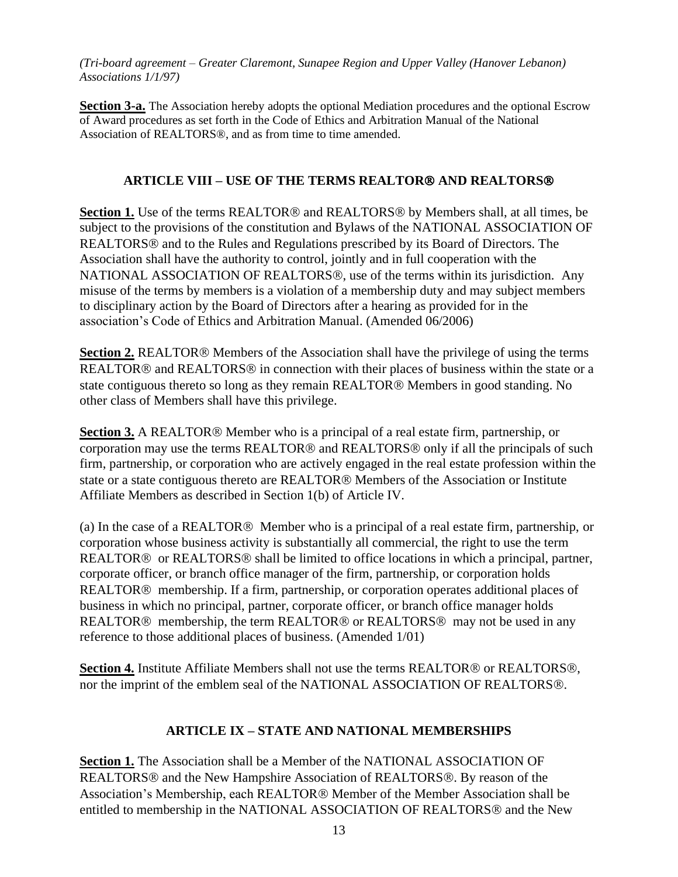*(Tri-board agreement – Greater Claremont, Sunapee Region and Upper Valley (Hanover Lebanon) Associations 1/1/97)*

**Section 3-a.** The Association hereby adopts the optional Mediation procedures and the optional Escrow of Award procedures as set forth in the Code of Ethics and Arbitration Manual of the National Association of REALTORS®, and as from time to time amended.

### **ARTICLE VIII – USE OF THE TERMS REALTOR AND REALTORS**

**Section 1.** Use of the terms REALTOR<sup>®</sup> and REALTORS<sup>®</sup> by Members shall, at all times, be subject to the provisions of the constitution and Bylaws of the NATIONAL ASSOCIATION OF REALTORS<sup>®</sup> and to the Rules and Regulations prescribed by its Board of Directors. The Association shall have the authority to control, jointly and in full cooperation with the NATIONAL ASSOCIATION OF REALTORS<sup>®</sup>, use of the terms within its jurisdiction. Any misuse of the terms by members is a violation of a membership duty and may subject members to disciplinary action by the Board of Directors after a hearing as provided for in the association's Code of Ethics and Arbitration Manual. (Amended 06/2006)

**Section 2.** REALTOR<sup>®</sup> Members of the Association shall have the privilege of using the terms REALTOR<sup>®</sup> and REALTORS<sup>®</sup> in connection with their places of business within the state or a state contiguous thereto so long as they remain REALTOR® Members in good standing. No other class of Members shall have this privilege.

**Section 3.** A REALTOR<sup>®</sup> Member who is a principal of a real estate firm, partnership, or corporation may use the terms REALTOR<sup>®</sup> and REALTORS<sup>®</sup> only if all the principals of such firm, partnership, or corporation who are actively engaged in the real estate profession within the state or a state contiguous thereto are REALTOR<sup>®</sup> Members of the Association or Institute Affiliate Members as described in Section 1(b) of Article IV.

(a) In the case of a REALTOR<sup>®</sup> Member who is a principal of a real estate firm, partnership, or corporation whose business activity is substantially all commercial, the right to use the term REALTOR<sup>®</sup> or REALTORS<sup>®</sup> shall be limited to office locations in which a principal, partner, corporate officer, or branch office manager of the firm, partnership, or corporation holds REALTOR<sup>®</sup> membership. If a firm, partnership, or corporation operates additional places of business in which no principal, partner, corporate officer, or branch office manager holds REALTOR<sup>®</sup> membership, the term REALTOR<sup>®</sup> or REALTORS<sup>®</sup> may not be used in any reference to those additional places of business. (Amended 1/01)

**Section 4.** Institute Affiliate Members shall not use the terms REALTOR® or REALTORS®, nor the imprint of the emblem seal of the NATIONAL ASSOCIATION OF REALTORS®.

### **ARTICLE IX – STATE AND NATIONAL MEMBERSHIPS**

**Section 1.** The Association shall be a Member of the NATIONAL ASSOCIATION OF REALTORS<sup>®</sup> and the New Hampshire Association of REALTORS<sup>®</sup>. By reason of the Association's Membership, each REALTOR<sup>®</sup> Member of the Member Association shall be entitled to membership in the NATIONAL ASSOCIATION OF REALTORS® and the New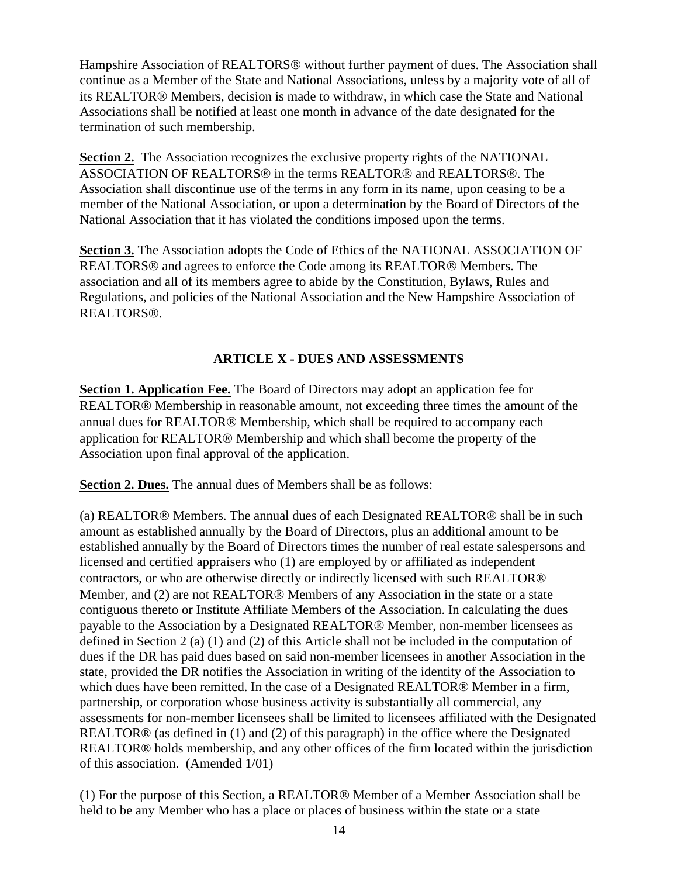Hampshire Association of REALTORS<sup>®</sup> without further payment of dues. The Association shall continue as a Member of the State and National Associations, unless by a majority vote of all of its REALTOR<sup>®</sup> Members, decision is made to withdraw, in which case the State and National Associations shall be notified at least one month in advance of the date designated for the termination of such membership.

**Section 2.** The Association recognizes the exclusive property rights of the NATIONAL ASSOCIATION OF REALTORS<sup>®</sup> in the terms REALTOR<sup>®</sup> and REALTORS<sup>®</sup>. The Association shall discontinue use of the terms in any form in its name, upon ceasing to be a member of the National Association, or upon a determination by the Board of Directors of the National Association that it has violated the conditions imposed upon the terms.

**Section 3.** The Association adopts the Code of Ethics of the NATIONAL ASSOCIATION OF REALTORS<sup>®</sup> and agrees to enforce the Code among its REALTOR<sup>®</sup> Members. The association and all of its members agree to abide by the Constitution, Bylaws, Rules and Regulations, and policies of the National Association and the New Hampshire Association of REALTORS®

## **ARTICLE X - DUES AND ASSESSMENTS**

**Section 1. Application Fee.** The Board of Directors may adopt an application fee for REALTOR<sup>®</sup> Membership in reasonable amount, not exceeding three times the amount of the annual dues for REALTOR® Membership, which shall be required to accompany each application for REALTOR<sup>®</sup> Membership and which shall become the property of the Association upon final approval of the application.

**Section 2. Dues.** The annual dues of Members shall be as follows:

(a) REALTOR  $\circledR$  Members. The annual dues of each Designated REALTOR  $\circledR$  shall be in such amount as established annually by the Board of Directors, plus an additional amount to be established annually by the Board of Directors times the number of real estate salespersons and licensed and certified appraisers who (1) are employed by or affiliated as independent contractors, or who are otherwise directly or indirectly licensed with such REALTOR Member, and (2) are not REALTOR<sup>®</sup> Members of any Association in the state or a state contiguous thereto or Institute Affiliate Members of the Association. In calculating the dues payable to the Association by a Designated REALTOR Member, non-member licensees as defined in Section 2 (a) (1) and (2) of this Article shall not be included in the computation of dues if the DR has paid dues based on said non-member licensees in another Association in the state, provided the DR notifies the Association in writing of the identity of the Association to which dues have been remitted. In the case of a Designated REALTOR® Member in a firm, partnership, or corporation whose business activity is substantially all commercial, any assessments for non-member licensees shall be limited to licensees affiliated with the Designated REALTOR® (as defined in (1) and (2) of this paragraph) in the office where the Designated REALTOR® holds membership, and any other offices of the firm located within the jurisdiction of this association. (Amended 1/01)

(1) For the purpose of this Section, a REALTOR Member of a Member Association shall be held to be any Member who has a place or places of business within the state or a state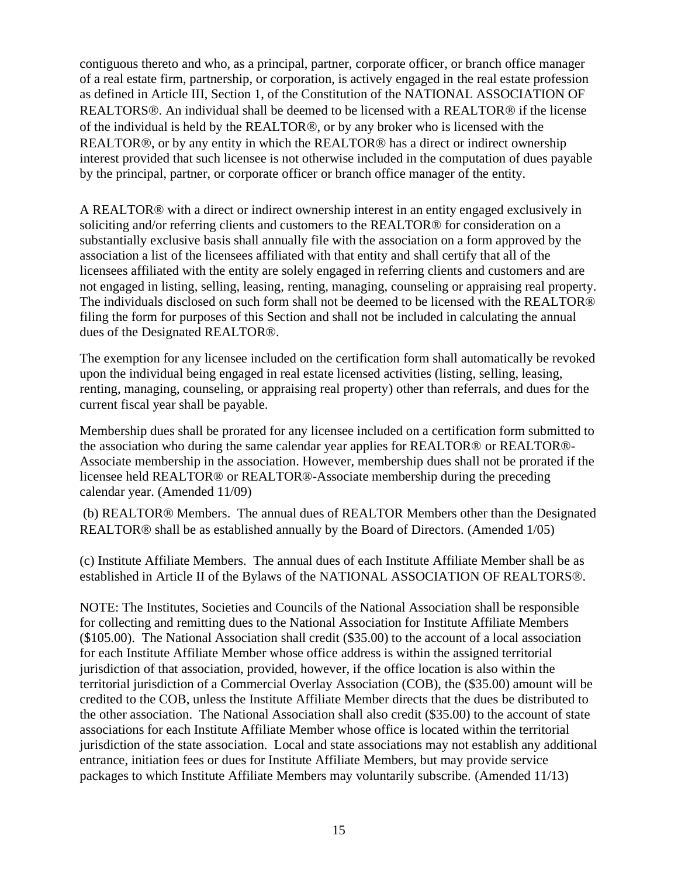contiguous thereto and who, as a principal, partner, corporate officer, or branch office manager of a real estate firm, partnership, or corporation, is actively engaged in the real estate profession as defined in Article III, Section 1, of the Constitution of the NATIONAL ASSOCIATION OF REALTORS<sup>®</sup>. An individual shall be deemed to be licensed with a REALTOR<sup>®</sup> if the license of the individual is held by the REALTOR®, or by any broker who is licensed with the REALTOR®, or by any entity in which the REALTOR® has a direct or indirect ownership interest provided that such licensee is not otherwise included in the computation of dues payable by the principal, partner, or corporate officer or branch office manager of the entity.

A REALTOR® with a direct or indirect ownership interest in an entity engaged exclusively in soliciting and/or referring clients and customers to the REALTOR® for consideration on a substantially exclusive basis shall annually file with the association on a form approved by the association a list of the licensees affiliated with that entity and shall certify that all of the licensees affiliated with the entity are solely engaged in referring clients and customers and are not engaged in listing, selling, leasing, renting, managing, counseling or appraising real property. The individuals disclosed on such form shall not be deemed to be licensed with the REALTOR® filing the form for purposes of this Section and shall not be included in calculating the annual dues of the Designated REALTOR®.

The exemption for any licensee included on the certification form shall automatically be revoked upon the individual being engaged in real estate licensed activities (listing, selling, leasing, renting, managing, counseling, or appraising real property) other than referrals, and dues for the current fiscal year shall be payable.

Membership dues shall be prorated for any licensee included on a certification form submitted to the association who during the same calendar year applies for REALTOR® or REALTOR®- Associate membership in the association. However, membership dues shall not be prorated if the licensee held REALTOR® or REALTOR®-Associate membership during the preceding calendar year. (Amended 11/09)

(b) REALTOR Members. The annual dues of REALTOR Members other than the Designated REALTOR $\circledR$  shall be as established annually by the Board of Directors. (Amended 1/05)

(c) Institute Affiliate Members. The annual dues of each Institute Affiliate Member shall be as established in Article II of the Bylaws of the NATIONAL ASSOCIATION OF REALTORS®.

NOTE: The Institutes, Societies and Councils of the National Association shall be responsible for collecting and remitting dues to the National Association for Institute Affiliate Members (\$105.00). The National Association shall credit (\$35.00) to the account of a local association for each Institute Affiliate Member whose office address is within the assigned territorial jurisdiction of that association, provided, however, if the office location is also within the territorial jurisdiction of a Commercial Overlay Association (COB), the (\$35.00) amount will be credited to the COB, unless the Institute Affiliate Member directs that the dues be distributed to the other association. The National Association shall also credit (\$35.00) to the account of state associations for each Institute Affiliate Member whose office is located within the territorial jurisdiction of the state association. Local and state associations may not establish any additional entrance, initiation fees or dues for Institute Affiliate Members, but may provide service packages to which Institute Affiliate Members may voluntarily subscribe. (Amended 11/13)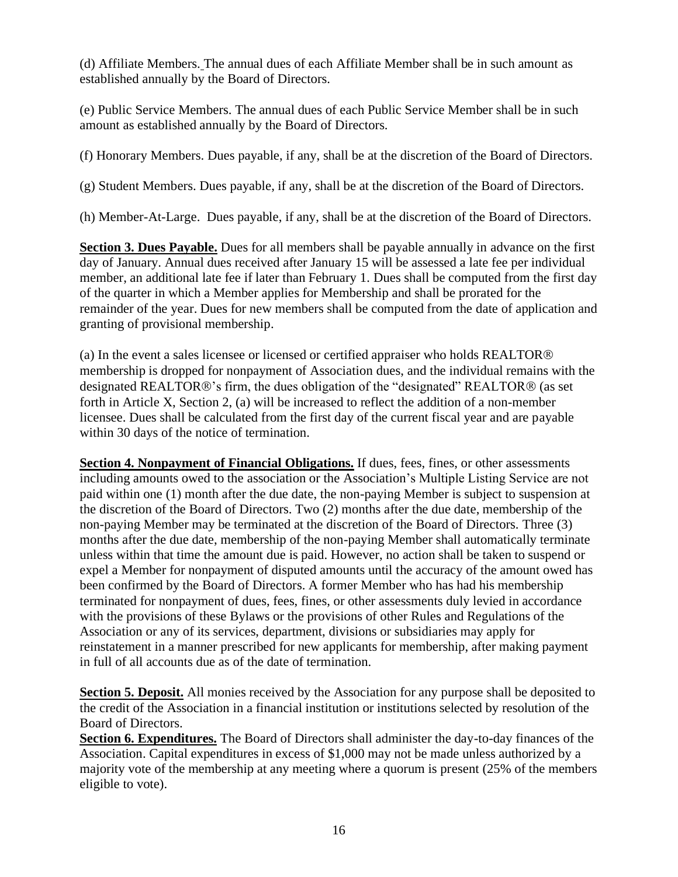(d) Affiliate Members. The annual dues of each Affiliate Member shall be in such amount as established annually by the Board of Directors.

(e) Public Service Members. The annual dues of each Public Service Member shall be in such amount as established annually by the Board of Directors.

(f) Honorary Members. Dues payable, if any, shall be at the discretion of the Board of Directors.

(g) Student Members. Dues payable, if any, shall be at the discretion of the Board of Directors.

(h) Member-At-Large. Dues payable, if any, shall be at the discretion of the Board of Directors.

**Section 3. Dues Payable.** Dues for all members shall be payable annually in advance on the first day of January. Annual dues received after January 15 will be assessed a late fee per individual member, an additional late fee if later than February 1*.* Dues shall be computed from the first day of the quarter in which a Member applies for Membership and shall be prorated for the remainder of the year. Dues for new members shall be computed from the date of application and granting of provisional membership.

(a) In the event a sales licensee or licensed or certified appraiser who holds REALTOR membership is dropped for nonpayment of Association dues, and the individual remains with the designated REALTOR®'s firm, the dues obligation of the "designated" REALTOR® (as set forth in Article X, Section 2, (a) will be increased to reflect the addition of a non-member licensee. Dues shall be calculated from the first day of the current fiscal year and are payable within 30 days of the notice of termination.

**Section 4. Nonpayment of Financial Obligations.** If dues, fees, fines, or other assessments including amounts owed to the association or the Association's Multiple Listing Service are not paid within one (1) month after the due date, the non-paying Member is subject to suspension at the discretion of the Board of Directors. Two (2) months after the due date, membership of the non-paying Member may be terminated at the discretion of the Board of Directors. Three (3) months after the due date, membership of the non-paying Member shall automatically terminate unless within that time the amount due is paid. However, no action shall be taken to suspend or expel a Member for nonpayment of disputed amounts until the accuracy of the amount owed has been confirmed by the Board of Directors. A former Member who has had his membership terminated for nonpayment of dues, fees, fines, or other assessments duly levied in accordance with the provisions of these Bylaws or the provisions of other Rules and Regulations of the Association or any of its services, department, divisions or subsidiaries may apply for reinstatement in a manner prescribed for new applicants for membership, after making payment in full of all accounts due as of the date of termination.

**Section 5. Deposit.** All monies received by the Association for any purpose shall be deposited to the credit of the Association in a financial institution or institutions selected by resolution of the Board of Directors.

**Section 6. Expenditures.** The Board of Directors shall administer the day-to-day finances of the Association. Capital expenditures in excess of \$1,000 may not be made unless authorized by a majority vote of the membership at any meeting where a quorum is present (25% of the members eligible to vote).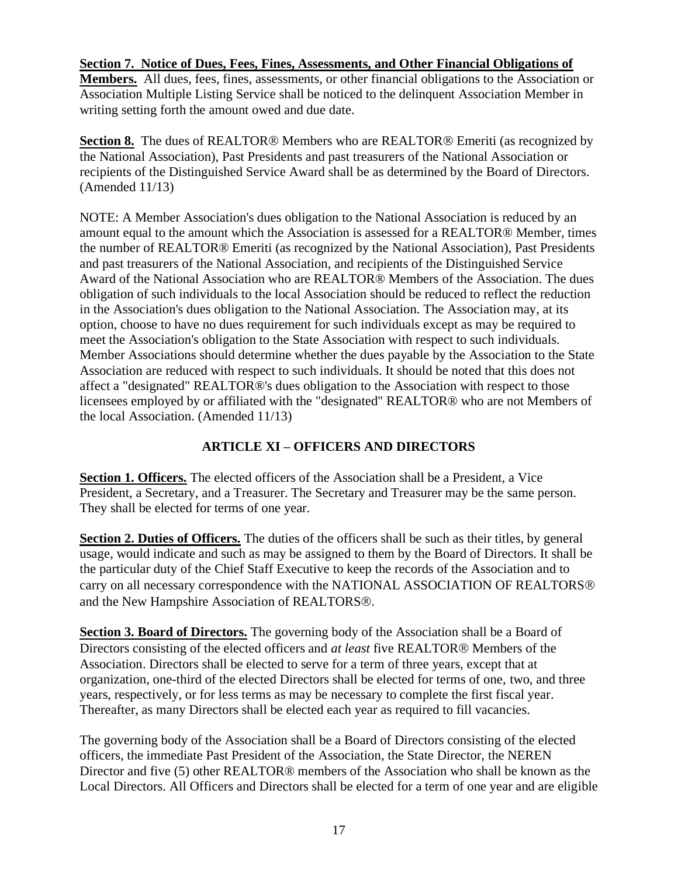#### **Section 7. Notice of Dues, Fees, Fines, Assessments, and Other Financial Obligations of**

**Members.** All dues, fees, fines, assessments, or other financial obligations to the Association or Association Multiple Listing Service shall be noticed to the delinquent Association Member in writing setting forth the amount owed and due date.

**Section 8.** The dues of REALTOR<sup>®</sup> Members who are REALTOR<sup>®</sup> Emeriti (as recognized by the National Association), Past Presidents and past treasurers of the National Association or recipients of the Distinguished Service Award shall be as determined by the Board of Directors. (Amended 11/13)

NOTE: A Member Association's dues obligation to the National Association is reduced by an amount equal to the amount which the Association is assessed for a REALTOR® Member, times the number of REALTOR® Emeriti (as recognized by the National Association), Past Presidents and past treasurers of the National Association, and recipients of the Distinguished Service Award of the National Association who are REALTOR® Members of the Association. The dues obligation of such individuals to the local Association should be reduced to reflect the reduction in the Association's dues obligation to the National Association. The Association may, at its option, choose to have no dues requirement for such individuals except as may be required to meet the Association's obligation to the State Association with respect to such individuals. Member Associations should determine whether the dues payable by the Association to the State Association are reduced with respect to such individuals. It should be noted that this does not affect a "designated" REALTOR®'s dues obligation to the Association with respect to those licensees employed by or affiliated with the "designated" REALTOR® who are not Members of the local Association. (Amended 11/13)

### **ARTICLE XI – OFFICERS AND DIRECTORS**

**Section 1. Officers.** The elected officers of the Association shall be a President, a Vice President, a Secretary, and a Treasurer. The Secretary and Treasurer may be the same person. They shall be elected for terms of one year.

**Section 2. Duties of Officers.** The duties of the officers shall be such as their titles, by general usage, would indicate and such as may be assigned to them by the Board of Directors. It shall be the particular duty of the Chief Staff Executive to keep the records of the Association and to carry on all necessary correspondence with the NATIONAL ASSOCIATION OF REALTORS and the New Hampshire Association of REALTORS®.

**Section 3. Board of Directors.** The governing body of the Association shall be a Board of Directors consisting of the elected officers and *at least* five REALTOR<sup>®</sup> Members of the Association. Directors shall be elected to serve for a term of three years, except that at organization, one-third of the elected Directors shall be elected for terms of one, two, and three years, respectively, or for less terms as may be necessary to complete the first fiscal year. Thereafter, as many Directors shall be elected each year as required to fill vacancies.

The governing body of the Association shall be a Board of Directors consisting of the elected officers, the immediate Past President of the Association, the State Director, the NEREN Director and five (5) other REALTOR® members of the Association who shall be known as the Local Directors. All Officers and Directors shall be elected for a term of one year and are eligible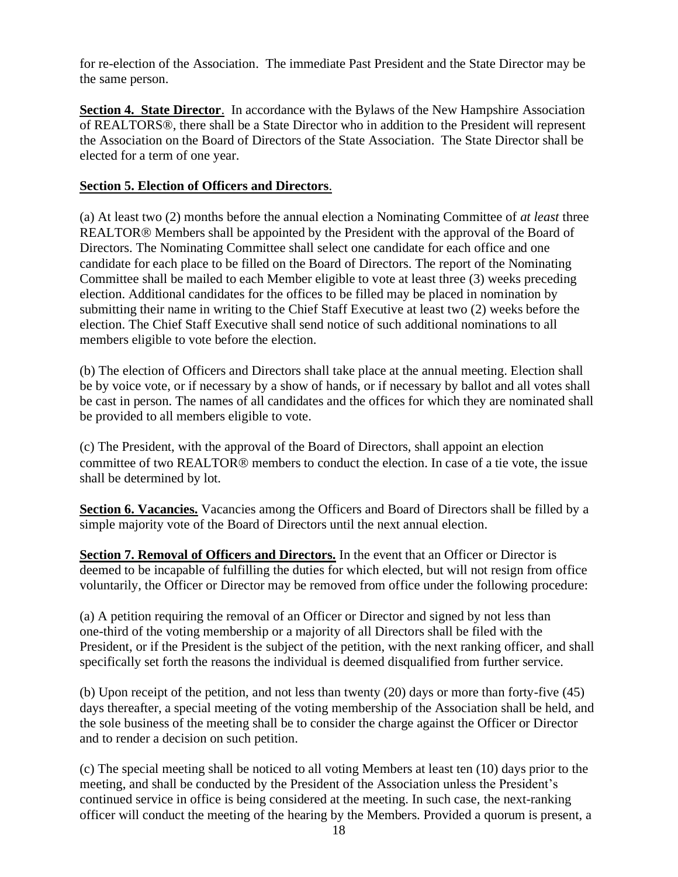for re-election of the Association. The immediate Past President and the State Director may be the same person.

**Section 4. State Director**. In accordance with the Bylaws of the New Hampshire Association of REALTORS®, there shall be a State Director who in addition to the President will represent the Association on the Board of Directors of the State Association. The State Director shall be elected for a term of one year.

## **Section 5. Election of Officers and Directors**.

(a) At least two (2) months before the annual election a Nominating Committee of *at least* three REALTOR<sup>®</sup> Members shall be appointed by the President with the approval of the Board of Directors. The Nominating Committee shall select one candidate for each office and one candidate for each place to be filled on the Board of Directors. The report of the Nominating Committee shall be mailed to each Member eligible to vote at least three (3) weeks preceding election. Additional candidates for the offices to be filled may be placed in nomination by submitting their name in writing to the Chief Staff Executive at least two (2) weeks before the election. The Chief Staff Executive shall send notice of such additional nominations to all members eligible to vote before the election.

(b) The election of Officers and Directors shall take place at the annual meeting. Election shall be by voice vote, or if necessary by a show of hands, or if necessary by ballot and all votes shall be cast in person. The names of all candidates and the offices for which they are nominated shall be provided to all members eligible to vote.

(c) The President, with the approval of the Board of Directors, shall appoint an election committee of two REALTOR<sup>®</sup> members to conduct the election. In case of a tie vote, the issue shall be determined by lot.

**Section 6. Vacancies.** Vacancies among the Officers and Board of Directors shall be filled by a simple majority vote of the Board of Directors until the next annual election.

**Section 7. Removal of Officers and Directors.** In the event that an Officer or Director is deemed to be incapable of fulfilling the duties for which elected, but will not resign from office voluntarily, the Officer or Director may be removed from office under the following procedure:

(a) A petition requiring the removal of an Officer or Director and signed by not less than one-third of the voting membership or a majority of all Directors shall be filed with the President, or if the President is the subject of the petition, with the next ranking officer, and shall specifically set forth the reasons the individual is deemed disqualified from further service.

(b) Upon receipt of the petition, and not less than twenty (20) days or more than forty-five (45) days thereafter, a special meeting of the voting membership of the Association shall be held, and the sole business of the meeting shall be to consider the charge against the Officer or Director and to render a decision on such petition.

(c) The special meeting shall be noticed to all voting Members at least ten (10) days prior to the meeting, and shall be conducted by the President of the Association unless the President's continued service in office is being considered at the meeting. In such case, the next-ranking officer will conduct the meeting of the hearing by the Members. Provided a quorum is present, a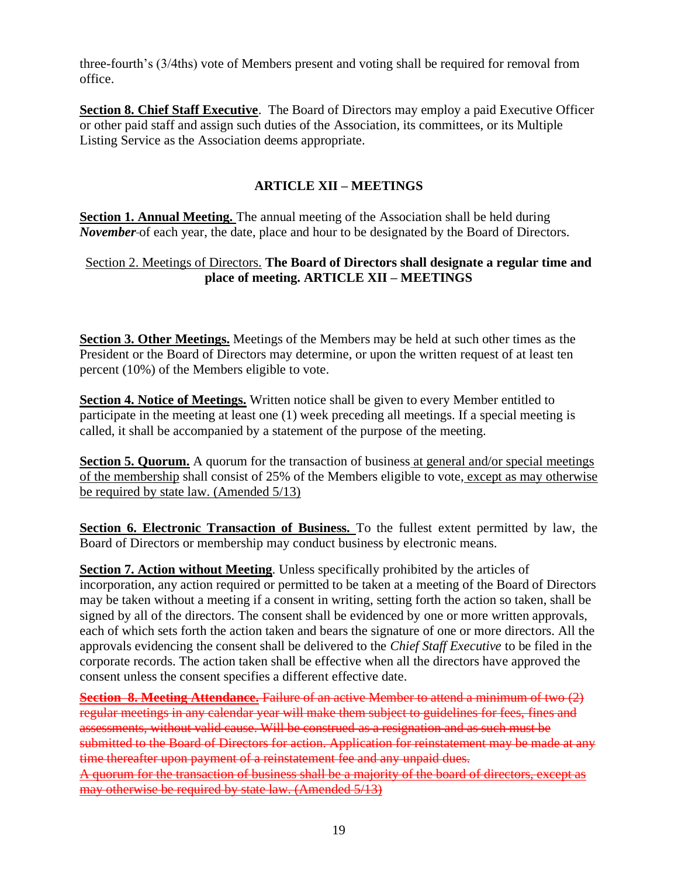three-fourth's (3/4ths) vote of Members present and voting shall be required for removal from office.

**Section 8. Chief Staff Executive**. The Board of Directors may employ a paid Executive Officer or other paid staff and assign such duties of the Association, its committees, or its Multiple Listing Service as the Association deems appropriate.

## **ARTICLE XII – MEETINGS**

**Section 1. Annual Meeting.** The annual meeting of the Association shall be held during *November* of each year, the date, place and hour to be designated by the Board of Directors.

## Section 2. Meetings of Directors. **The Board of Directors shall designate a regular time and place of meeting. ARTICLE XII – MEETINGS**

**Section 3. Other Meetings.** Meetings of the Members may be held at such other times as the President or the Board of Directors may determine, or upon the written request of at least ten percent (10%) of the Members eligible to vote.

**Section 4. Notice of Meetings.** Written notice shall be given to every Member entitled to participate in the meeting at least one (1) week preceding all meetings. If a special meeting is called, it shall be accompanied by a statement of the purpose of the meeting.

**Section 5. Quorum.** A quorum for the transaction of business at general and/or special meetings of the membership shall consist of 25% of the Members eligible to vote, except as may otherwise be required by state law. (Amended 5/13)

**Section 6. Electronic Transaction of Business.** To the fullest extent permitted by law, the Board of Directors or membership may conduct business by electronic means.

**Section 7. Action without Meeting**. Unless specifically prohibited by the articles of incorporation, any action required or permitted to be taken at a meeting of the Board of Directors may be taken without a meeting if a consent in writing, setting forth the action so taken, shall be signed by all of the directors. The consent shall be evidenced by one or more written approvals, each of which sets forth the action taken and bears the signature of one or more directors. All the approvals evidencing the consent shall be delivered to the *Chief Staff Executive* to be filed in the corporate records. The action taken shall be effective when all the directors have approved the consent unless the consent specifies a different effective date.

**Section 8. Meeting Attendance.** Failure of an active Member to attend a minimum of two (2) regular meetings in any calendar year will make them subject to guidelines for fees, fines and assessments, without valid cause. Will be construed as a resignation and as such must be submitted to the Board of Directors for action. Application for reinstatement may be made at any time thereafter upon payment of a reinstatement fee and any unpaid dues. A quorum for the transaction of business shall be a majority of the board of directors, except as may otherwise be required by state law. (Amended 5/13)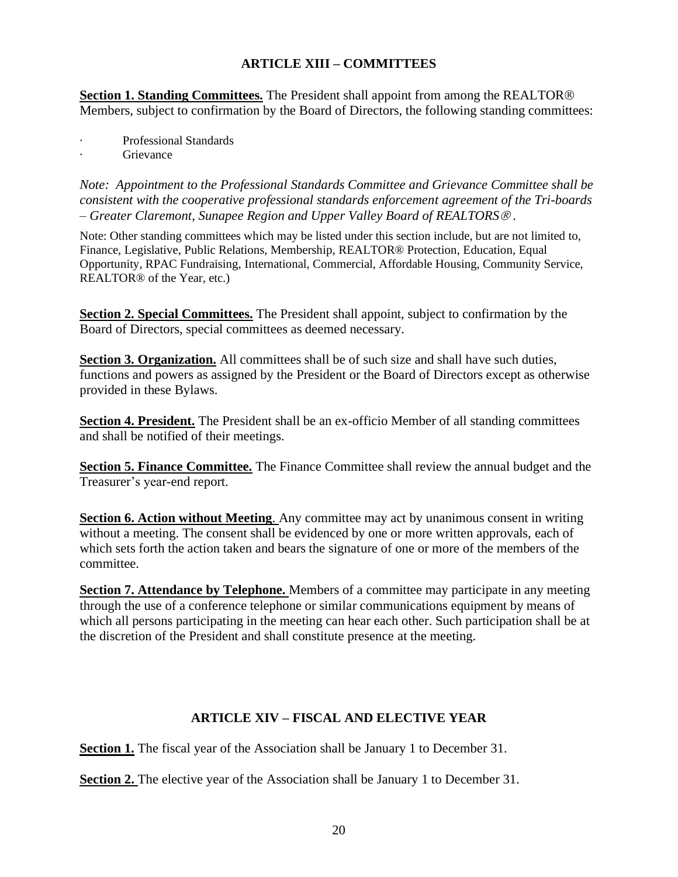## **ARTICLE XIII – COMMITTEES**

**Section 1. Standing Committees.** The President shall appoint from among the REALTOR Members, subject to confirmation by the Board of Directors, the following standing committees:

- Professional Standards
- Grievance

*Note: Appointment to the Professional Standards Committee and Grievance Committee shall be consistent with the cooperative professional standards enforcement agreement of the Tri-boards – Greater Claremont, Sunapee Region and Upper Valley Board of REALTORS .*

Note: Other standing committees which may be listed under this section include, but are not limited to, Finance, Legislative, Public Relations, Membership, REALTOR® Protection, Education, Equal Opportunity, RPAC Fundraising, International, Commercial, Affordable Housing, Community Service, REALTOR® of the Year, etc.)

**Section 2. Special Committees.** The President shall appoint, subject to confirmation by the Board of Directors, special committees as deemed necessary.

**Section 3. Organization.** All committees shall be of such size and shall have such duties, functions and powers as assigned by the President or the Board of Directors except as otherwise provided in these Bylaws.

**Section 4. President.** The President shall be an ex-officio Member of all standing committees and shall be notified of their meetings.

**Section 5. Finance Committee.** The Finance Committee shall review the annual budget and the Treasurer's year-end report.

**Section 6. Action without Meeting.** Any committee may act by unanimous consent in writing without a meeting. The consent shall be evidenced by one or more written approvals, each of which sets forth the action taken and bears the signature of one or more of the members of the committee.

**Section 7. Attendance by Telephone.** Members of a committee may participate in any meeting through the use of a conference telephone or similar communications equipment by means of which all persons participating in the meeting can hear each other. Such participation shall be at the discretion of the President and shall constitute presence at the meeting.

# **ARTICLE XIV – FISCAL AND ELECTIVE YEAR**

**Section 1.** The fiscal year of the Association shall be January 1 to December 31.

**Section 2.** The elective year of the Association shall be January 1 to December 31.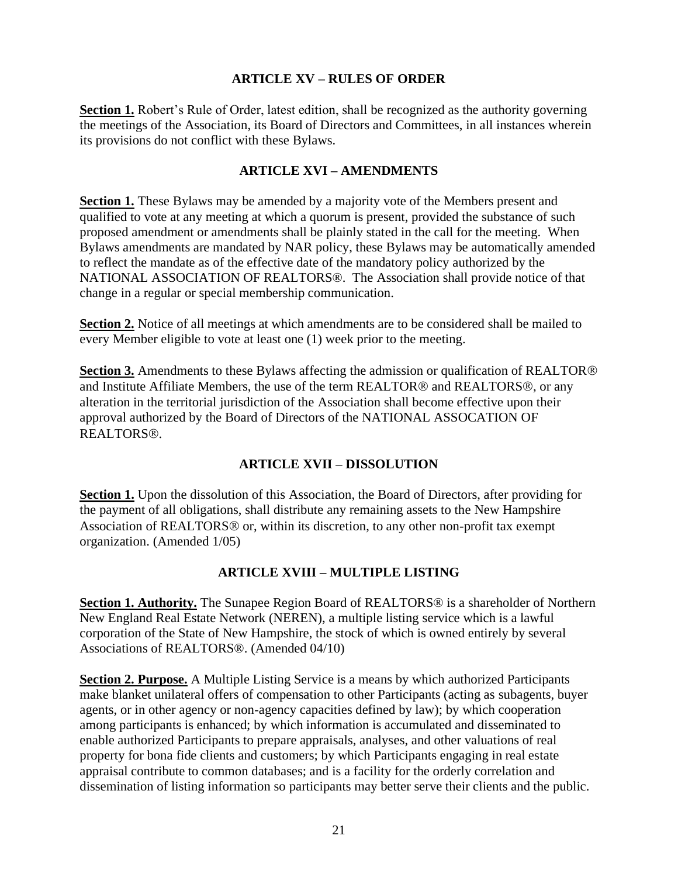### **ARTICLE XV – RULES OF ORDER**

**Section 1.** Robert's Rule of Order, latest edition, shall be recognized as the authority governing the meetings of the Association, its Board of Directors and Committees, in all instances wherein its provisions do not conflict with these Bylaws.

### **ARTICLE XVI – AMENDMENTS**

**Section 1.** These Bylaws may be amended by a majority vote of the Members present and qualified to vote at any meeting at which a quorum is present, provided the substance of such proposed amendment or amendments shall be plainly stated in the call for the meeting. When Bylaws amendments are mandated by NAR policy, these Bylaws may be automatically amended to reflect the mandate as of the effective date of the mandatory policy authorized by the NATIONAL ASSOCIATION OF REALTORS®. The Association shall provide notice of that change in a regular or special membership communication.

**Section 2.** Notice of all meetings at which amendments are to be considered shall be mailed to every Member eligible to vote at least one (1) week prior to the meeting.

**Section 3.** Amendments to these Bylaws affecting the admission or qualification of REALTOR<sup>®</sup> and Institute Affiliate Members, the use of the term REALTOR® and REALTORS®, or any alteration in the territorial jurisdiction of the Association shall become effective upon their approval authorized by the Board of Directors of the NATIONAL ASSOCATION OF **REALTORS®** 

## **ARTICLE XVII – DISSOLUTION**

**Section 1.** Upon the dissolution of this Association, the Board of Directors, after providing for the payment of all obligations, shall distribute any remaining assets to the New Hampshire Association of REALTORS<sup>®</sup> or, within its discretion, to any other non-profit tax exempt organization. (Amended 1/05)

## **ARTICLE XVIII – MULTIPLE LISTING**

**Section 1. Authority.** The Sunapee Region Board of REALTORS® is a shareholder of Northern New England Real Estate Network (NEREN), a multiple listing service which is a lawful corporation of the State of New Hampshire, the stock of which is owned entirely by several Associations of REALTORS®. (Amended 04/10)

**Section 2. Purpose.** A Multiple Listing Service is a means by which authorized Participants make blanket unilateral offers of compensation to other Participants (acting as subagents, buyer agents, or in other agency or non-agency capacities defined by law); by which cooperation among participants is enhanced; by which information is accumulated and disseminated to enable authorized Participants to prepare appraisals, analyses, and other valuations of real property for bona fide clients and customers; by which Participants engaging in real estate appraisal contribute to common databases; and is a facility for the orderly correlation and dissemination of listing information so participants may better serve their clients and the public.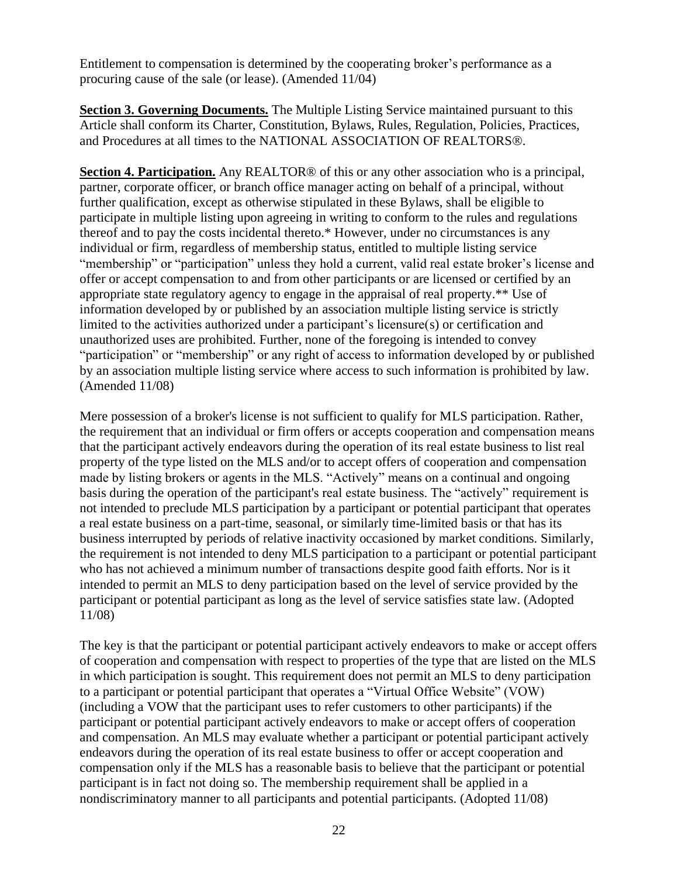Entitlement to compensation is determined by the cooperating broker's performance as a procuring cause of the sale (or lease). (Amended 11/04)

**Section 3. Governing Documents.** The Multiple Listing Service maintained pursuant to this Article shall conform its Charter, Constitution, Bylaws, Rules, Regulation, Policies, Practices, and Procedures at all times to the NATIONAL ASSOCIATION OF REALTORS®.

**Section 4. Participation.** Any REALTOR® of this or any other association who is a principal, partner, corporate officer, or branch office manager acting on behalf of a principal, without further qualification, except as otherwise stipulated in these Bylaws, shall be eligible to participate in multiple listing upon agreeing in writing to conform to the rules and regulations thereof and to pay the costs incidental thereto.\* However, under no circumstances is any individual or firm, regardless of membership status, entitled to multiple listing service "membership" or "participation" unless they hold a current, valid real estate broker's license and offer or accept compensation to and from other participants or are licensed or certified by an appropriate state regulatory agency to engage in the appraisal of real property.\*\* Use of information developed by or published by an association multiple listing service is strictly limited to the activities authorized under a participant's licensure(s) or certification and unauthorized uses are prohibited. Further, none of the foregoing is intended to convey "participation" or "membership" or any right of access to information developed by or published by an association multiple listing service where access to such information is prohibited by law. (Amended 11/08)

Mere possession of a broker's license is not sufficient to qualify for MLS participation. Rather, the requirement that an individual or firm offers or accepts cooperation and compensation means that the participant actively endeavors during the operation of its real estate business to list real property of the type listed on the MLS and/or to accept offers of cooperation and compensation made by listing brokers or agents in the MLS. "Actively" means on a continual and ongoing basis during the operation of the participant's real estate business. The "actively" requirement is not intended to preclude MLS participation by a participant or potential participant that operates a real estate business on a part-time, seasonal, or similarly time-limited basis or that has its business interrupted by periods of relative inactivity occasioned by market conditions. Similarly, the requirement is not intended to deny MLS participation to a participant or potential participant who has not achieved a minimum number of transactions despite good faith efforts. Nor is it intended to permit an MLS to deny participation based on the level of service provided by the participant or potential participant as long as the level of service satisfies state law. (Adopted 11/08)

The key is that the participant or potential participant actively endeavors to make or accept offers of cooperation and compensation with respect to properties of the type that are listed on the MLS in which participation is sought. This requirement does not permit an MLS to deny participation to a participant or potential participant that operates a "Virtual Office Website" (VOW) (including a VOW that the participant uses to refer customers to other participants) if the participant or potential participant actively endeavors to make or accept offers of cooperation and compensation. An MLS may evaluate whether a participant or potential participant actively endeavors during the operation of its real estate business to offer or accept cooperation and compensation only if the MLS has a reasonable basis to believe that the participant or potential participant is in fact not doing so. The membership requirement shall be applied in a nondiscriminatory manner to all participants and potential participants. (Adopted 11/08)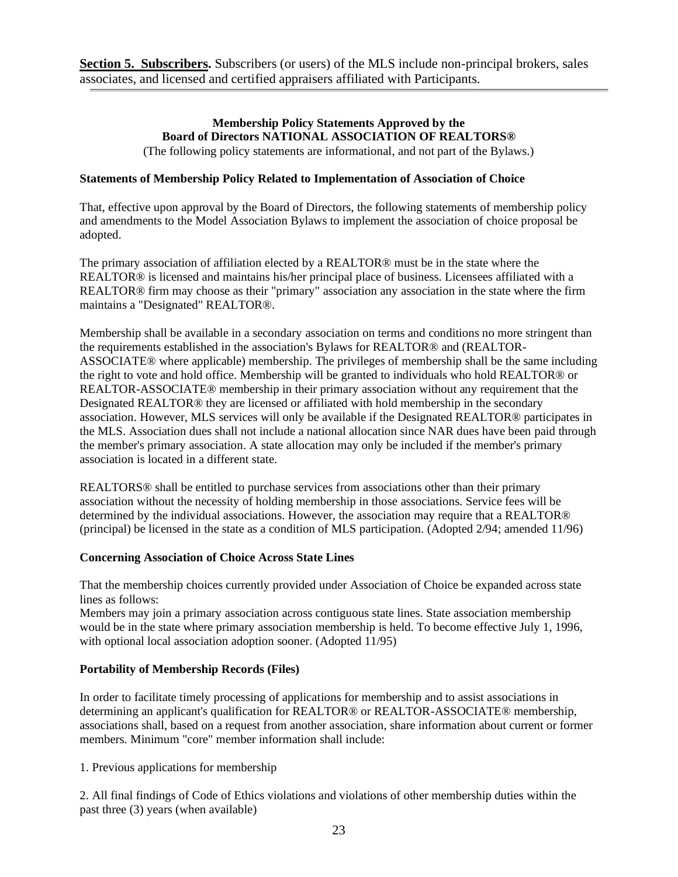#### **Membership Policy Statements Approved by the Board of Directors NATIONAL ASSOCIATION OF REALTORS®** (The following policy statements are informational, and not part of the Bylaws.)

#### **Statements of Membership Policy Related to Implementation of Association of Choice**

That, effective upon approval by the Board of Directors, the following statements of membership policy and amendments to the Model Association Bylaws to implement the association of choice proposal be adopted.

The primary association of affiliation elected by a REALTOR® must be in the state where the REALTOR® is licensed and maintains his/her principal place of business. Licensees affiliated with a REALTOR® firm may choose as their "primary" association any association in the state where the firm maintains a "Designated" REALTOR®.

Membership shall be available in a secondary association on terms and conditions no more stringent than the requirements established in the association's Bylaws for REALTOR® and (REALTOR-ASSOCIATE® where applicable) membership. The privileges of membership shall be the same including the right to vote and hold office. Membership will be granted to individuals who hold REALTOR® or REALTOR-ASSOCIATE® membership in their primary association without any requirement that the Designated REALTOR® they are licensed or affiliated with hold membership in the secondary association. However, MLS services will only be available if the Designated REALTOR® participates in the MLS. Association dues shall not include a national allocation since NAR dues have been paid through the member's primary association. A state allocation may only be included if the member's primary association is located in a different state.

REALTORS® shall be entitled to purchase services from associations other than their primary association without the necessity of holding membership in those associations. Service fees will be determined by the individual associations. However, the association may require that a REALTOR® (principal) be licensed in the state as a condition of MLS participation. (Adopted 2/94; amended 11/96)

#### **Concerning Association of Choice Across State Lines**

That the membership choices currently provided under Association of Choice be expanded across state lines as follows:

Members may join a primary association across contiguous state lines. State association membership would be in the state where primary association membership is held. To become effective July 1, 1996, with optional local association adoption sooner. (Adopted 11/95)

#### **Portability of Membership Records (Files)**

In order to facilitate timely processing of applications for membership and to assist associations in determining an applicant's qualification for REALTOR® or REALTOR-ASSOCIATE® membership, associations shall, based on a request from another association, share information about current or former members. Minimum "core" member information shall include:

1. Previous applications for membership

2. All final findings of Code of Ethics violations and violations of other membership duties within the past three (3) years (when available)